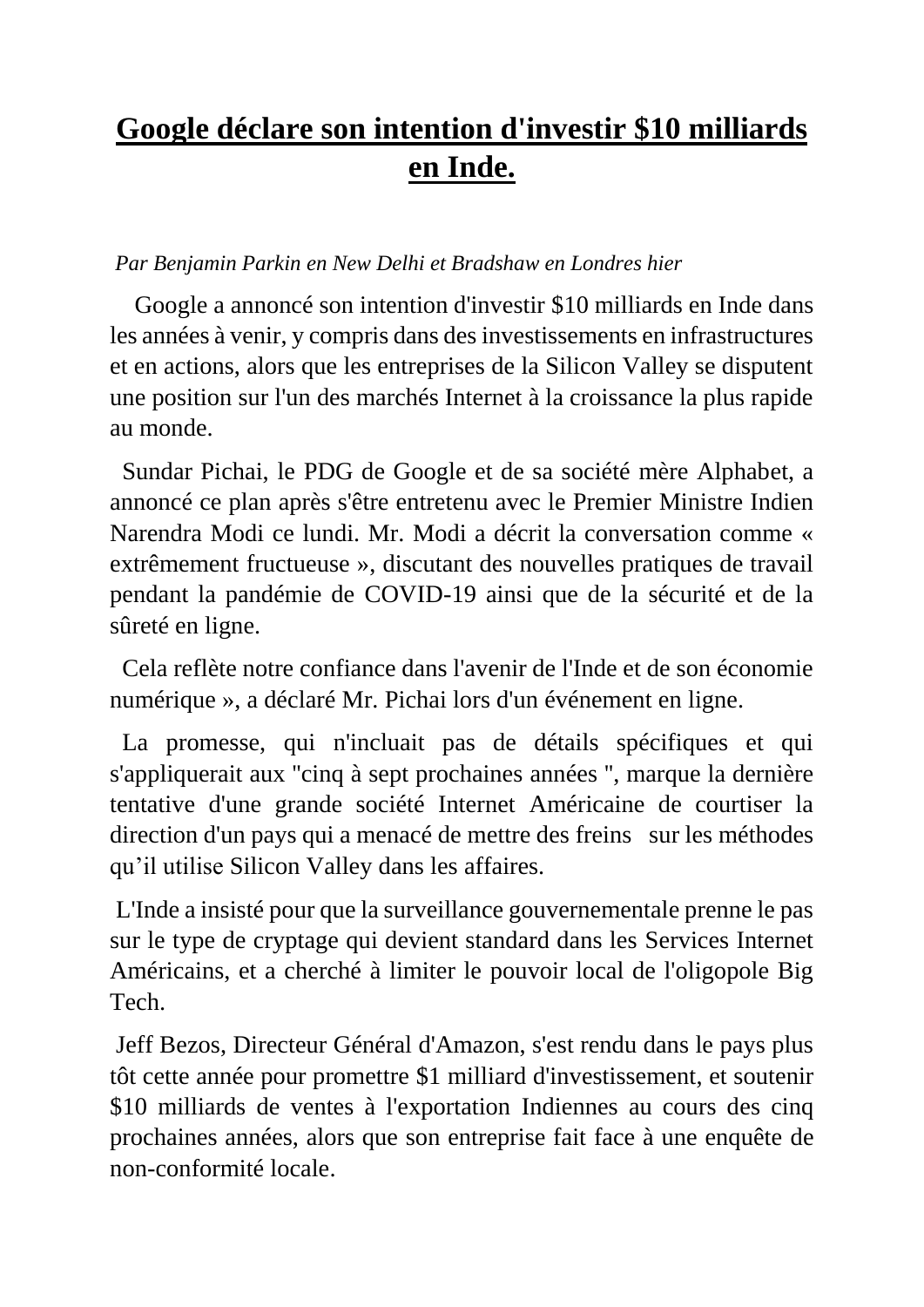## **Google déclare son intention d'investir \$10 milliards en Inde.**

## *Par Benjamin Parkin en New Delhi et Bradshaw en Londres hier*

 Google a annoncé son intention d'investir \$10 milliards en Inde dans les années à venir, y compris dans des investissements en infrastructures et en actions, alors que les entreprises de la Silicon Valley se disputent une position sur l'un des marchés Internet à la croissance la plus rapide au monde.

 Sundar Pichai, le PDG de Google et de sa société mère Alphabet, a annoncé ce plan après s'être entretenu avec le Premier Ministre Indien Narendra Modi ce lundi. Mr. Modi a décrit la conversation comme « extrêmement fructueuse », discutant des nouvelles pratiques de travail pendant la pandémie de COVID-19 ainsi que de la sécurité et de la sûreté en ligne.

 Cela reflète notre confiance dans l'avenir de l'Inde et de son économie numérique », a déclaré Mr. Pichai lors d'un événement en ligne.

La promesse, qui n'incluait pas de détails spécifiques et qui s'appliquerait aux ''cinq à sept prochaines années '', marque la dernière tentative d'une grande société Internet Américaine de courtiser la direction d'un pays qui a menacé de mettre des freins sur les méthodes qu'il utilise Silicon Valley dans les affaires.

L'Inde a insisté pour que la surveillance gouvernementale prenne le pas sur le type de cryptage qui devient standard dans les Services Internet Américains, et a cherché à limiter le pouvoir local de l'oligopole Big Tech.

Jeff Bezos, Directeur Général d'Amazon, s'est rendu dans le pays plus tôt cette année pour promettre \$1 milliard d'investissement, et soutenir \$10 milliards de ventes à l'exportation Indiennes au cours des cinq prochaines années, alors que son entreprise fait face à une enquête de non-conformité locale.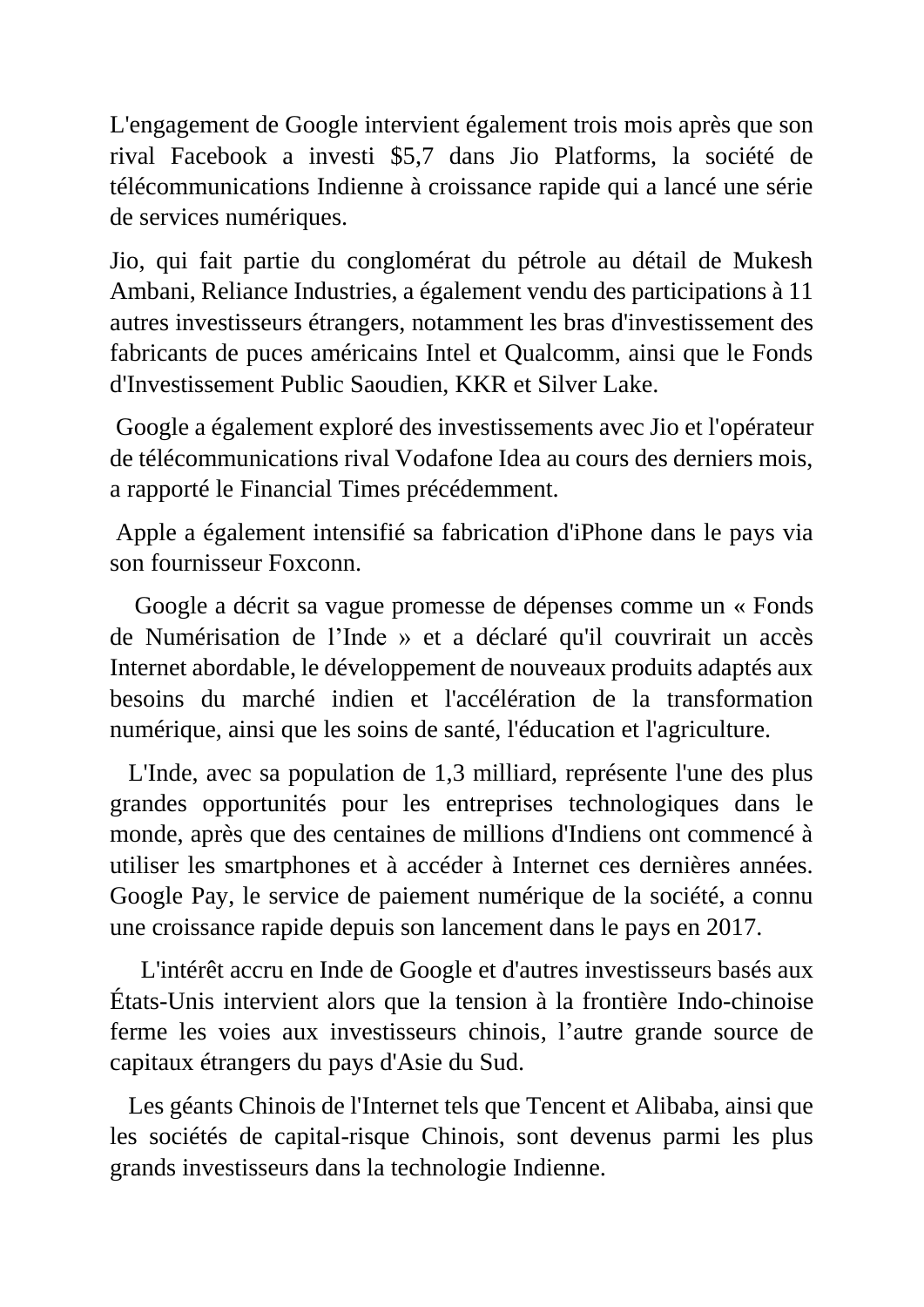L'engagement de Google intervient également trois mois après que son rival Facebook a investi \$5,7 dans Jio Platforms, la société de télécommunications Indienne à croissance rapide qui a lancé une série de services numériques.

Jio, qui fait partie du conglomérat du pétrole au détail de Mukesh Ambani, Reliance Industries, a également vendu des participations à 11 autres investisseurs étrangers, notamment les bras d'investissement des fabricants de puces américains Intel et Qualcomm, ainsi que le Fonds d'Investissement Public Saoudien, KKR et Silver Lake.

Google a également exploré des investissements avec Jio et l'opérateur de télécommunications rival Vodafone Idea au cours des derniers mois, a rapporté le Financial Times précédemment.

Apple a également intensifié sa fabrication d'iPhone dans le pays via son fournisseur Foxconn.

 Google a décrit sa vague promesse de dépenses comme un « Fonds de Numérisation de l'Inde » et a déclaré qu'il couvrirait un accès Internet abordable, le développement de nouveaux produits adaptés aux besoins du marché indien et l'accélération de la transformation numérique, ainsi que les soins de santé, l'éducation et l'agriculture.

 L'Inde, avec sa population de 1,3 milliard, représente l'une des plus grandes opportunités pour les entreprises technologiques dans le monde, après que des centaines de millions d'Indiens ont commencé à utiliser les smartphones et à accéder à Internet ces dernières années. Google Pay, le service de paiement numérique de la société, a connu une croissance rapide depuis son lancement dans le pays en 2017.

 L'intérêt accru en Inde de Google et d'autres investisseurs basés aux États-Unis intervient alors que la tension à la frontière Indo-chinoise ferme les voies aux investisseurs chinois, l'autre grande source de capitaux étrangers du pays d'Asie du Sud.

 Les géants Chinois de l'Internet tels que Tencent et Alibaba, ainsi que les sociétés de capital-risque Chinois, sont devenus parmi les plus grands investisseurs dans la technologie Indienne.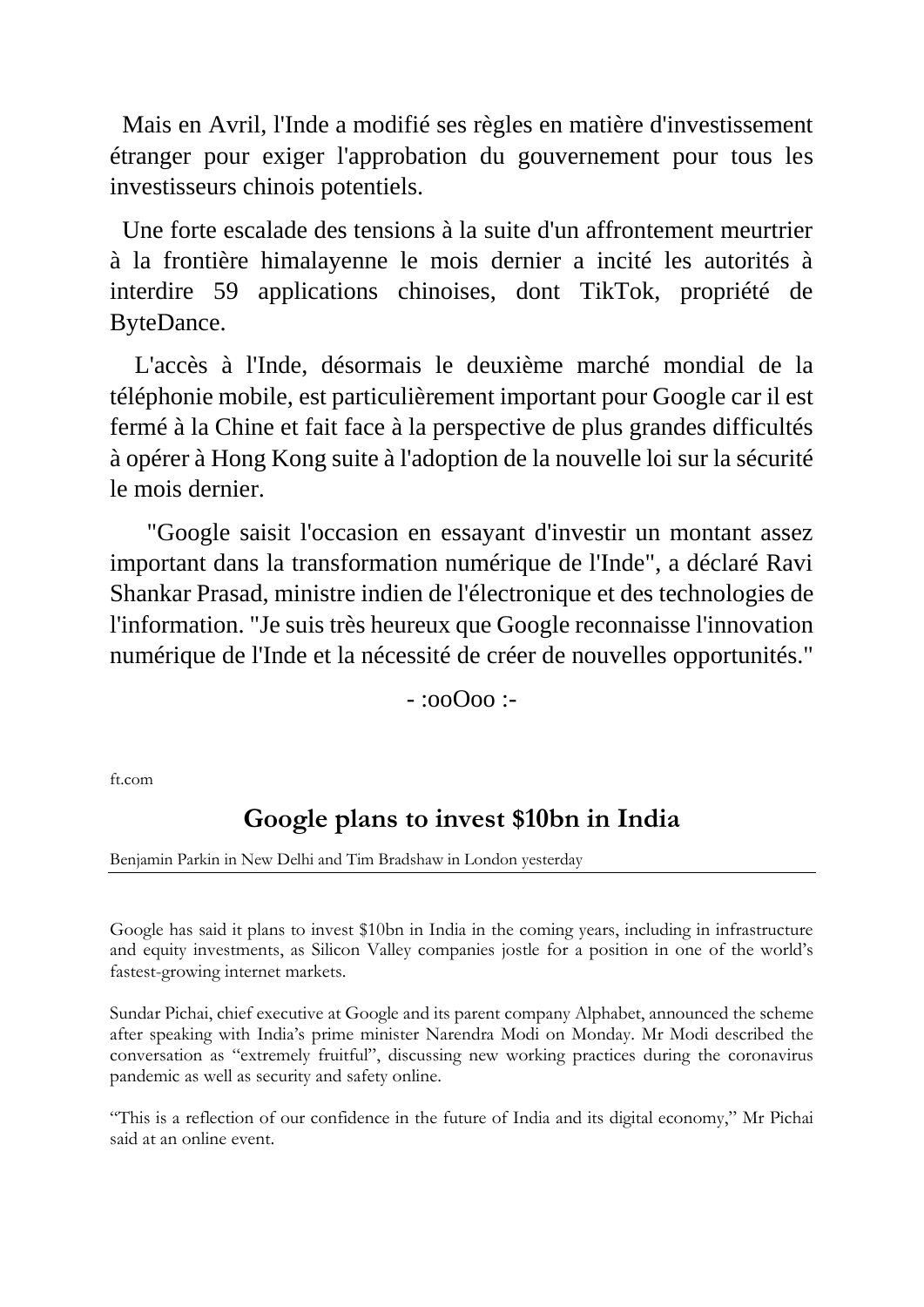Mais en Avril, l'Inde a modifié ses règles en matière d'investissement étranger pour exiger l'approbation du gouvernement pour tous les investisseurs chinois potentiels.

 Une forte escalade des tensions à la suite d'un affrontement meurtrier à la frontière himalayenne le mois dernier a incité les autorités à interdire 59 applications chinoises, dont TikTok, propriété de ByteDance.

 L'accès à l'Inde, désormais le deuxième marché mondial de la téléphonie mobile, est particulièrement important pour Google car il est fermé à la Chine et fait face à la perspective de plus grandes difficultés à opérer à Hong Kong suite à l'adoption de la nouvelle loi sur la sécurité le mois dernier.

 "Google saisit l'occasion en essayant d'investir un montant assez important dans la transformation numérique de l'Inde", a déclaré Ravi Shankar Prasad, ministre indien de l'électronique et des technologies de l'information. "Je suis très heureux que Google reconnaisse l'innovation numérique de l'Inde et la nécessité de créer de nouvelles opportunités."

 $\cdot$ :00 $\Omega$ oo :-

ft.com

## **Google plans to invest \$10bn in India**

Benjamin Parkin in New Delhi and Tim Bradshaw in London yesterday

Google has said it plans to invest \$10bn in India in the coming years, including in infrastructure and equity investments, as Silicon Valley companies jostle for a position in one of the world's fastest-growing internet markets.

Sundar Pichai, chief executive at Google and its parent company Alphabet, announced the scheme after speaking with India's prime minister Narendra Modi on Monday. Mr Modi described the conversation as "extremely fruitful", discussing new working practices during the coronavirus pandemic as well as security and safety online.

"This is a reflection of our confidence in the future of India and its digital economy," Mr Pichai said at an online event.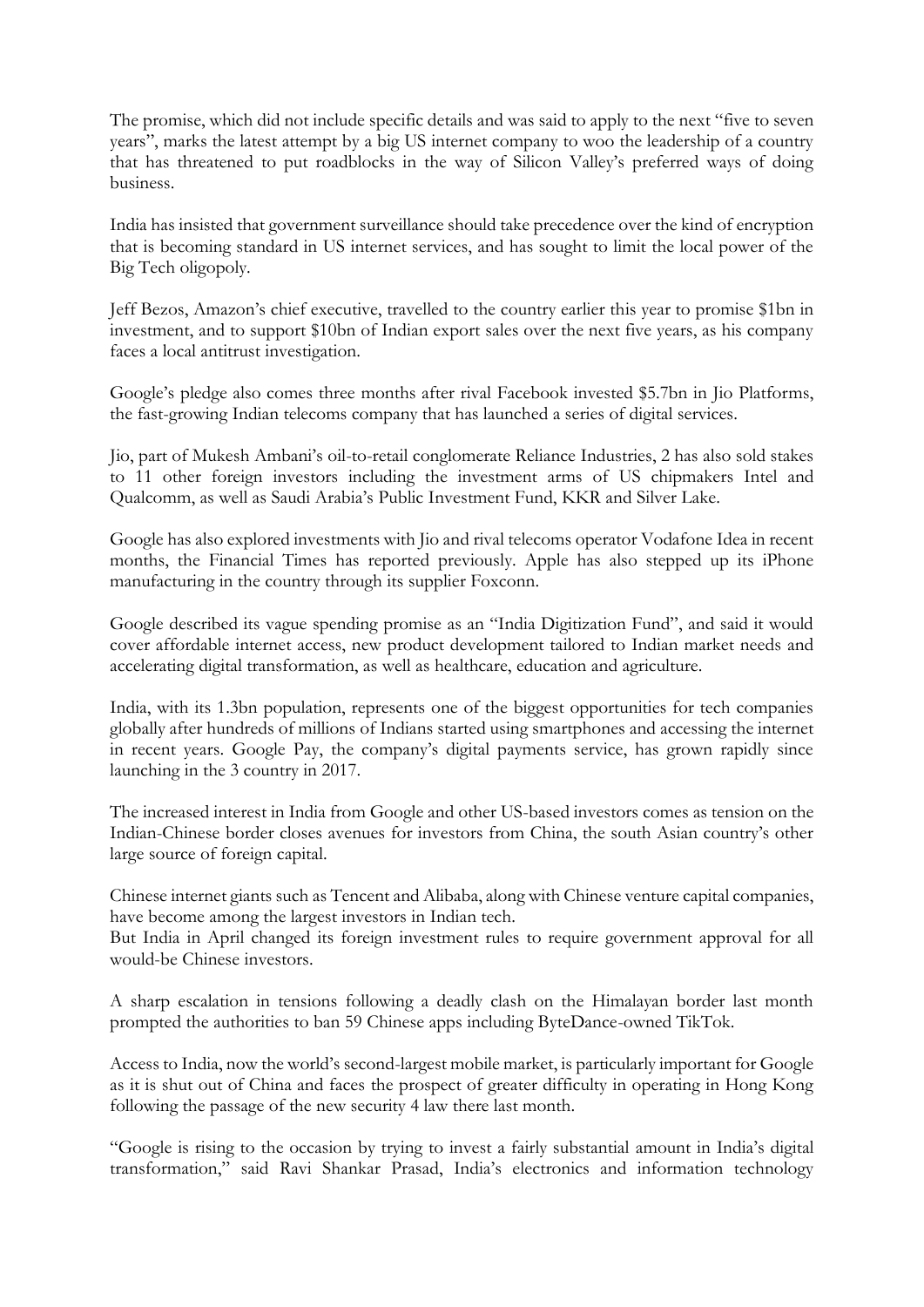The promise, which did not include specific details and was said to apply to the next "five to seven years", marks the latest attempt by a big US internet company to woo the leadership of a country that has threatened to put roadblocks in the way of Silicon Valley's preferred ways of doing business.

India has insisted that government surveillance should take precedence over the kind of encryption that is becoming standard in US internet services, and has sought to limit the local power of the Big Tech oligopoly.

Jeff Bezos, Amazon's chief executive, travelled to the country earlier this year to promise \$1bn in investment, and to support \$10bn of Indian export sales over the next five years, as his company faces a local antitrust investigation.

Google's pledge also comes three months after rival Facebook invested \$5.7bn in Jio Platforms, the fast-growing Indian telecoms company that has launched a series of digital services.

Jio, part of Mukesh Ambani's oil-to-retail conglomerate Reliance Industries, 2 has also sold stakes to 11 other foreign investors including the investment arms of US chipmakers Intel and Qualcomm, as well as Saudi Arabia's Public Investment Fund, KKR and Silver Lake.

Google has also explored investments with Jio and rival telecoms operator Vodafone Idea in recent months, the Financial Times has reported previously. Apple has also stepped up its iPhone manufacturing in the country through its supplier Foxconn.

Google described its vague spending promise as an "India Digitization Fund", and said it would cover affordable internet access, new product development tailored to Indian market needs and accelerating digital transformation, as well as healthcare, education and agriculture.

India, with its 1.3bn population, represents one of the biggest opportunities for tech companies globally after hundreds of millions of Indians started using smartphones and accessing the internet in recent years. Google Pay, the company's digital payments service, has grown rapidly since launching in the 3 country in 2017.

The increased interest in India from Google and other US-based investors comes as tension on the Indian-Chinese border closes avenues for investors from China, the south Asian country's other large source of foreign capital.

Chinese internet giants such as Tencent and Alibaba, along with Chinese venture capital companies, have become among the largest investors in Indian tech.

But India in April changed its foreign investment rules to require government approval for all would-be Chinese investors.

A sharp escalation in tensions following a deadly clash on the Himalayan border last month prompted the authorities to ban 59 Chinese apps including ByteDance-owned TikTok.

Access to India, now the world's second-largest mobile market, is particularly important for Google as it is shut out of China and faces the prospect of greater difficulty in operating in Hong Kong following the passage of the new security 4 law there last month.

"Google is rising to the occasion by trying to invest a fairly substantial amount in India's digital transformation," said Ravi Shankar Prasad, India's electronics and information technology